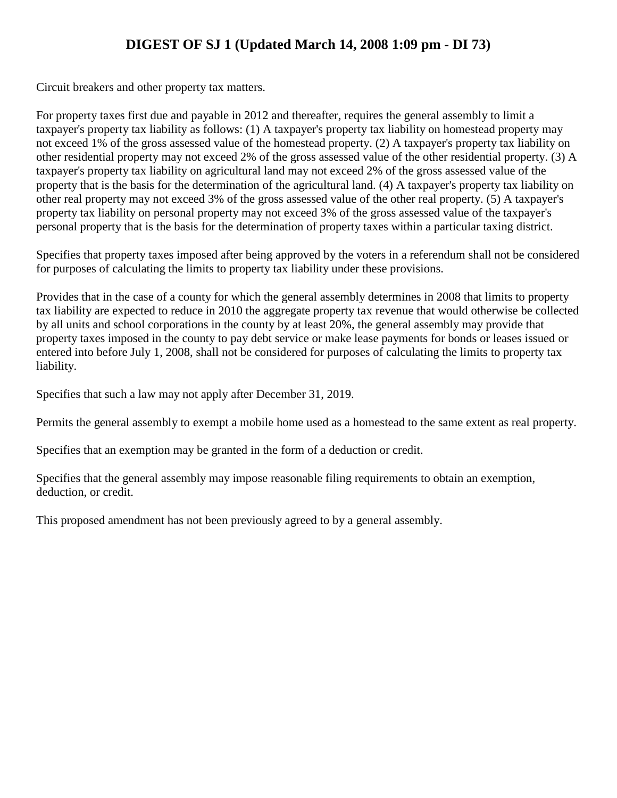### **DIGEST OF SJ 1 (Updated March 14, 2008 1:09 pm - DI 73)**

Circuit breakers and other property tax matters.

For property taxes first due and payable in 2012 and thereafter, requires the general assembly to limit a taxpayer's property tax liability as follows: (1) A taxpayer's property tax liability on homestead property may not exceed 1% of the gross assessed value of the homestead property. (2) A taxpayer's property tax liability on other residential property may not exceed 2% of the gross assessed value of the other residential property. (3) A taxpayer's property tax liability on agricultural land may not exceed 2% of the gross assessed value of the property that is the basis for the determination of the agricultural land. (4) A taxpayer's property tax liability on other real property may not exceed 3% of the gross assessed value of the other real property. (5) A taxpayer's property tax liability on personal property may not exceed 3% of the gross assessed value of the taxpayer's personal property that is the basis for the determination of property taxes within a particular taxing district.

Specifies that property taxes imposed after being approved by the voters in a referendum shall not be considered for purposes of calculating the limits to property tax liability under these provisions.

Provides that in the case of a county for which the general assembly determines in 2008 that limits to property tax liability are expected to reduce in 2010 the aggregate property tax revenue that would otherwise be collected by all units and school corporations in the county by at least 20%, the general assembly may provide that property taxes imposed in the county to pay debt service or make lease payments for bonds or leases issued or entered into before July 1, 2008, shall not be considered for purposes of calculating the limits to property tax liability.

Specifies that such a law may not apply after December 31, 2019.

Permits the general assembly to exempt a mobile home used as a homestead to the same extent as real property.

Specifies that an exemption may be granted in the form of a deduction or credit.

Specifies that the general assembly may impose reasonable filing requirements to obtain an exemption, deduction, or credit.

This proposed amendment has not been previously agreed to by a general assembly.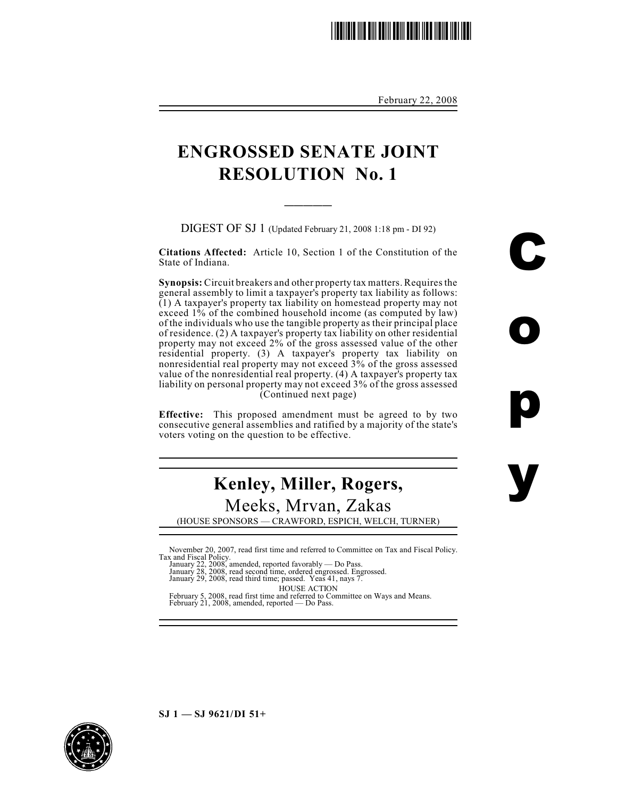## \*SJ0001.2\*

February 22, 2008

C

o

p

y

## **ENGROSSED SENATE JOINT RESOLUTION No. 1**

 $\overline{\phantom{a}}$ 

DIGEST OF SJ 1 (Updated February 21, 2008 1:18 pm - DI 92)

**Citations Affected:** Article 10, Section 1 of the Constitution of the State of Indiana.

**Synopsis:** Circuit breakers and other property tax matters. Requires the general assembly to limit a taxpayer's property tax liability as follows: (1) A taxpayer's property tax liability on homestead property may not exceed 1% of the combined household income (as computed by law) of the individuals who use the tangible property as their principal place of residence. (2) A taxpayer's property tax liability on other residential property may not exceed 2% of the gross assessed value of the other residential property. (3) A taxpayer's property tax liability on nonresidential real property may not exceed 3% of the gross assessed value of the nonresidential real property. (4) A taxpayer's property tax liability on personal property may not exceed 3% of the gross assessed (Continued next page)

**Effective:** This proposed amendment must be agreed to by two consecutive general assemblies and ratified by a majority of the state's voters voting on the question to be effective.

# **Kenley, Miller, Rogers,** Meeks, Mrvan, Zakas

(HOUSE SPONSORS — CRAWFORD, ESPICH, WELCH, TURNER)

November 20, 2007, read first time and referred to Committee on Tax and Fiscal Policy. Tax and Fiscal Policy. January 22, 2008, amended, reported favorably — Do Pass. January 28, 2008, read second time, ordered engrossed. Engrossed. January 29, 2008, read third time; passed. Yeas 41, nays 7.

HOUSE ACTION February 5, 2008, read first time and referred to Committee on Ways and Means. February 21, 2008, amended, reported — Do Pass.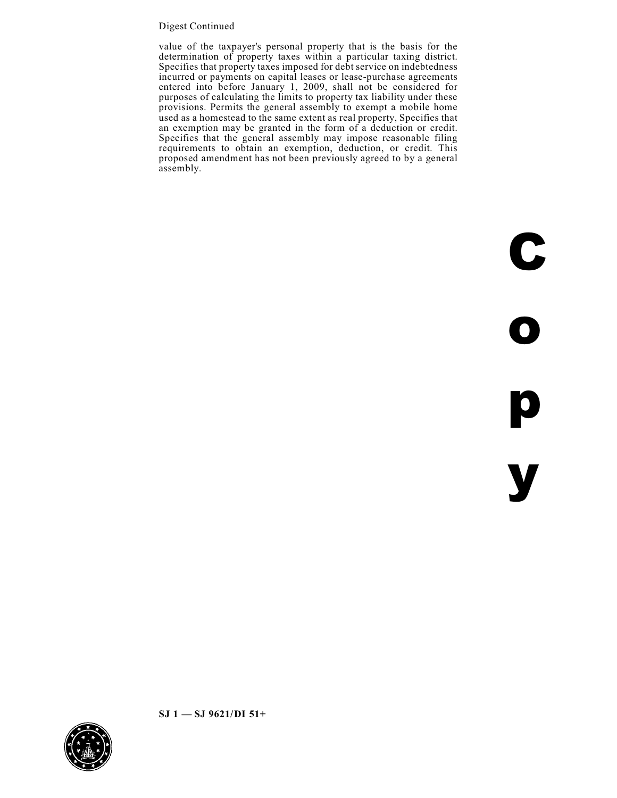#### Digest Continued

value of the taxpayer's personal property that is the basis for the determination of property taxes within a particular taxing district. Specifies that property taxes imposed for debt service on indebtedness incurred or payments on capital leases or lease-purchase agreements entered into before January 1, 2009, shall not be considered for purposes of calculating the limits to property tax liability under these provisions. Permits the general assembly to exempt a mobile home used as a homestead to the same extent as real property, Specifies that an exemption may be granted in the form of a deduction or credit. Specifies that the general assembly may impose reasonable filing requirements to obtain an exemption, deduction, or credit. This proposed amendment has not been previously agreed to by a general assembly.

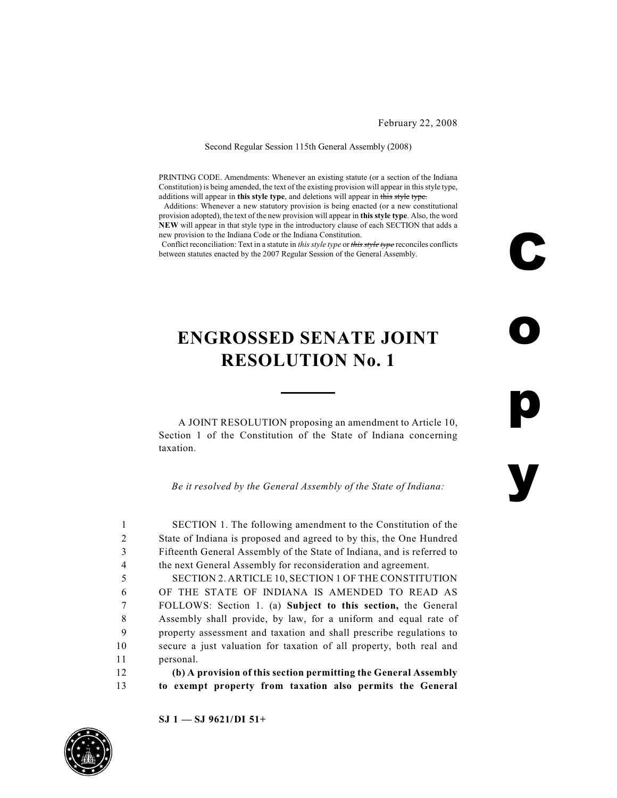February 22, 2008

C

o

p

y

#### Second Regular Session 115th General Assembly (2008)

PRINTING CODE. Amendments: Whenever an existing statute (or a section of the Indiana Constitution) is being amended, the text of the existing provision will appear in this style type, additions will appear in **this style type**, and deletions will appear in this style type.

 Additions: Whenever a new statutory provision is being enacted (or a new constitutional provision adopted), the text of the new provision will appear in **this style type**. Also, the word **NEW** will appear in that style type in the introductory clause of each SECTION that adds a new provision to the Indiana Code or the Indiana Constitution.

Conflict reconciliation: Text in a statute in *this style type* or *this style type* reconciles conflicts between statutes enacted by the 2007 Regular Session of the General Assembly.

## **ENGROSSED SENATE JOINT RESOLUTION No. 1**

A JOINT RESOLUTION proposing an amendment to Article 10, Section 1 of the Constitution of the State of Indiana concerning taxation.

*Be it resolved by the General Assembly of the State of Indiana:*

 SECTION 1. The following amendment to the Constitution of the State of Indiana is proposed and agreed to by this, the One Hundred Fifteenth General Assembly of the State of Indiana, and is referred to the next General Assembly for reconsideration and agreement. SECTION 2. ARTICLE 10, SECTION 1 OF THE CONSTITUTION OF THE STATE OF INDIANA IS AMENDED TO READ AS FOLLOWS: Section 1. (a) **Subject to this section,** the General Assembly shall provide, by law, for a uniform and equal rate of property assessment and taxation and shall prescribe regulations to secure a just valuation for taxation of all property, both real and personal. **(b) A provision of this section permitting the General Assembly to exempt property from taxation also permits the General**

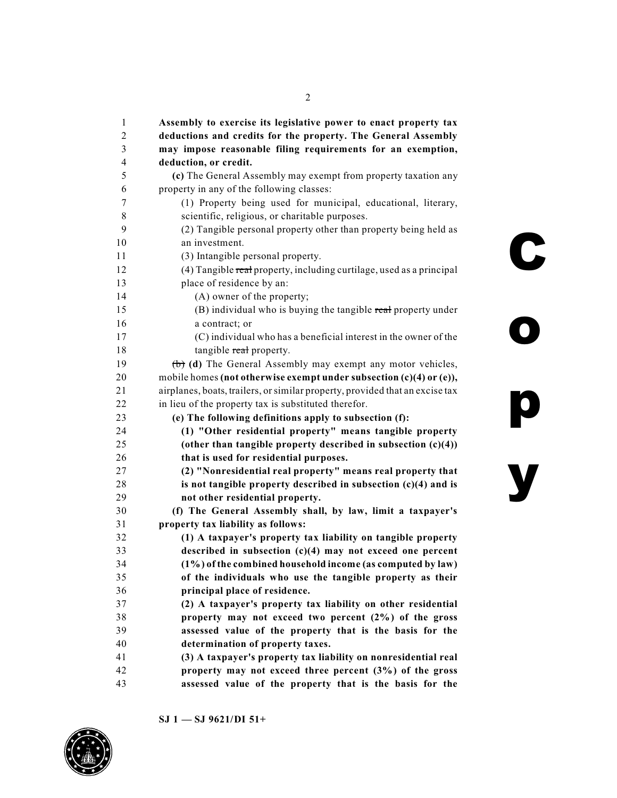| 1  | Assembly to exercise its legislative power to enact property tax             |
|----|------------------------------------------------------------------------------|
| 2  | deductions and credits for the property. The General Assembly                |
| 3  | may impose reasonable filing requirements for an exemption,                  |
| 4  | deduction, or credit.                                                        |
| 5  | (c) The General Assembly may exempt from property taxation any               |
| 6  | property in any of the following classes:                                    |
| 7  | (1) Property being used for municipal, educational, literary,                |
| 8  | scientific, religious, or charitable purposes.                               |
| 9  | (2) Tangible personal property other than property being held as             |
| 10 | an investment.                                                               |
| 11 | (3) Intangible personal property.                                            |
| 12 | (4) Tangible real property, including curtilage, used as a principal         |
| 13 | place of residence by an:                                                    |
| 14 | (A) owner of the property;                                                   |
| 15 | (B) individual who is buying the tangible real property under                |
| 16 | a contract; or                                                               |
| 17 | (C) individual who has a beneficial interest in the owner of the             |
| 18 | tangible real property.                                                      |
| 19 | (b) (d) The General Assembly may exempt any motor vehicles,                  |
| 20 | mobile homes (not otherwise exempt under subsection (c)(4) or (e)),          |
| 21 | airplanes, boats, trailers, or similar property, provided that an excise tax |
| 22 | in lieu of the property tax is substituted therefor.                         |
| 23 | (e) The following definitions apply to subsection (f):                       |
| 24 | (1) "Other residential property" means tangible property                     |
| 25 | (other than tangible property described in subsection $(c)(4)$ )             |
| 26 | that is used for residential purposes.                                       |
| 27 | (2) "Nonresidential real property" means real property that                  |
| 28 | is not tangible property described in subsection $(c)(4)$ and is             |
| 29 | not other residential property.                                              |
| 30 | (f) The General Assembly shall, by law, limit a taxpayer's                   |
| 31 | property tax liability as follows:                                           |
| 32 | (1) A taxpayer's property tax liability on tangible property                 |
| 33 | described in subsection $(c)(4)$ may not exceed one percent                  |
| 34 | (1%) of the combined household income (as computed by law)                   |
| 35 | of the individuals who use the tangible property as their                    |
| 36 | principal place of residence.                                                |
| 37 | (2) A taxpayer's property tax liability on other residential                 |
| 38 | property may not exceed two percent (2%) of the gross                        |
| 39 | assessed value of the property that is the basis for the                     |
| 40 | determination of property taxes.                                             |
| 41 | (3) A taxpayer's property tax liability on nonresidential real               |
| 42 | property may not exceed three percent $(3%)$ of the gross                    |
| 43 | assessed value of the property that is the basis for the                     |

**SJ 1 — SJ 9621/DI 51+**

y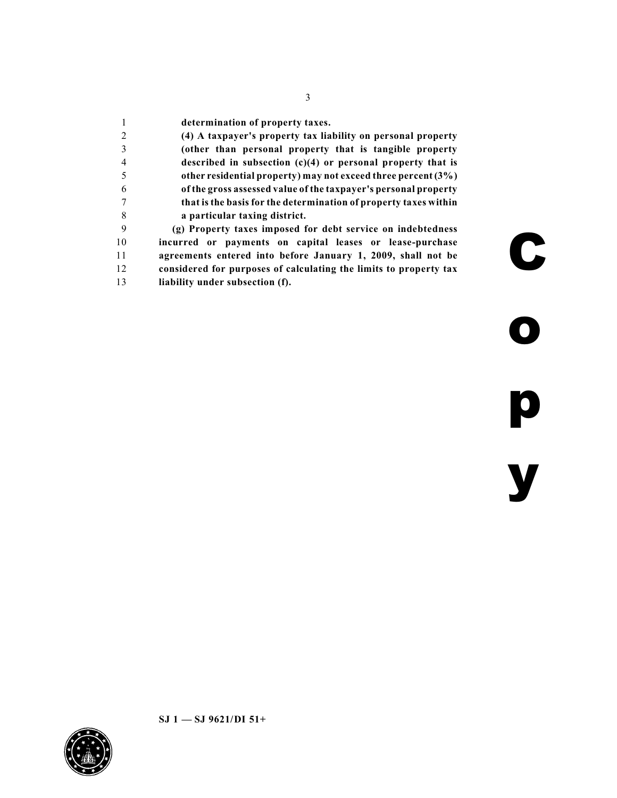**determination of property taxes. (4) A taxpayer's property tax liability on personal property (other than personal property that is tangible property described in subsection (c)(4) or personal property that is other residential property) may not exceed three percent (3%) of the gross assessed value of the taxpayer's personal property that is the basis for the determination of property taxes within a particular taxing district. (g) Property taxes imposed for debt service on indebtedness incurred or payments on capital leases or lease-purchase agreements entered into before January 1, 2009, shall not be considered for purposes of calculating the limits to property tax liability under subsection (f).**

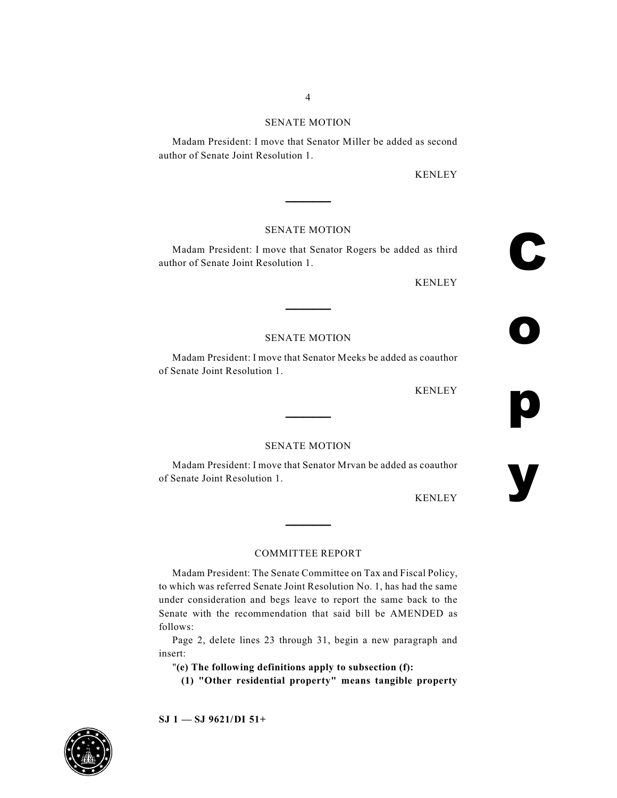#### SENATE MOTION

Madam President: I move that Senator Miller be added as second author of Senate Joint Resolution 1.

KENLEY

#### SENATE MOTION

**\_\_\_\_\_**

Madam President: I move that Senator Rogers be added as third author of Senate Joint Resolution 1.

KENLEY

C

o

p

y

#### SENATE MOTION

**\_\_\_\_\_**

Madam President: I move that Senator Meeks be added as coauthor of Senate Joint Resolution 1.

KENLEY

#### SENATE MOTION

**\_\_\_\_\_**

Madam President: I move that Senator Mrvan be added as coauthor of Senate Joint Resolution 1.

KENLEY

#### COMMITTEE REPORT

**\_\_\_\_\_**

Madam President: The Senate Committee on Tax and Fiscal Policy, to which was referred Senate Joint Resolution No. 1, has had the same under consideration and begs leave to report the same back to the Senate with the recommendation that said bill be AMENDED as follows:

Page 2, delete lines 23 through 31, begin a new paragraph and insert:

"**(e) The following definitions apply to subsection (f):**

**(1) "Other residential property" means tangible property**

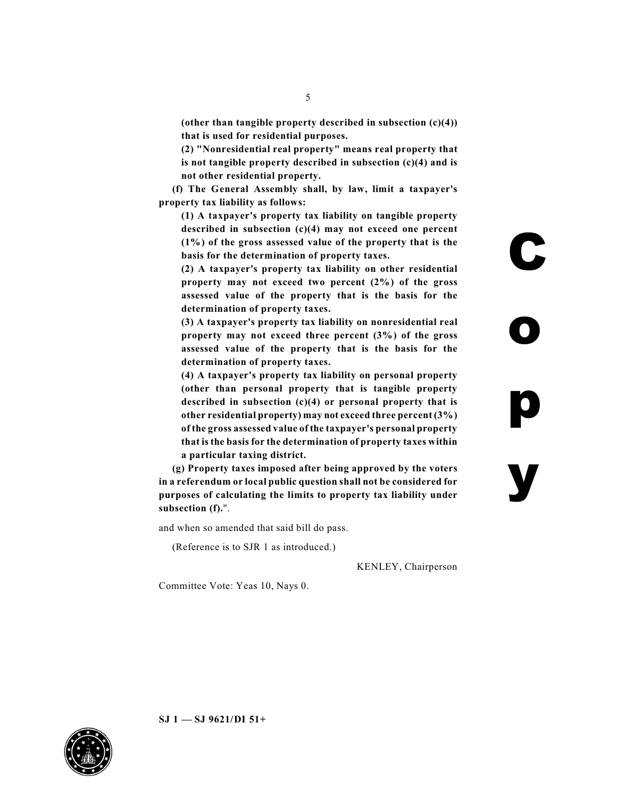**(other than tangible property described in subsection (c)(4)) that is used for residential purposes.**

**(2) "Nonresidential real property" means real property that is not tangible property described in subsection (c)(4) and is not other residential property.**

**(f) The General Assembly shall, by law, limit a taxpayer's property tax liability as follows:**

**(1) A taxpayer's property tax liability on tangible property described in subsection (c)(4) may not exceed one percent (1%) of the gross assessed value of the property that is the basis for the determination of property taxes.**

**(2) A taxpayer's property tax liability on other residential property may not exceed two percent (2%) of the gross assessed value of the property that is the basis for the determination of property taxes.**

**(3) A taxpayer's property tax liability on nonresidential real property may not exceed three percent (3%) of the gross assessed value of the property that is the basis for the determination of property taxes.**

**(4) A taxpayer's property tax liability on personal property (other than personal property that is tangible property described in subsection (c)(4) or personal property that is other residential property) may not exceed three percent (3%) of the gross assessed value of the taxpayer's personal property that is the basis for the determination of property taxes within a particular taxing district.**

**(g) Property taxes imposed after being approved by the voters in a referendum or local public question shall not be considered for purposes of calculating the limits to property tax liability under subsection (f).**".

and when so amended that said bill do pass.

(Reference is to SJR 1 as introduced.)

KENLEY, Chairperson

Committee Vote: Yeas 10, Nays 0.

**SJ 1 — SJ 9621/DI 51+**



 $\blacklozenge$ o p y